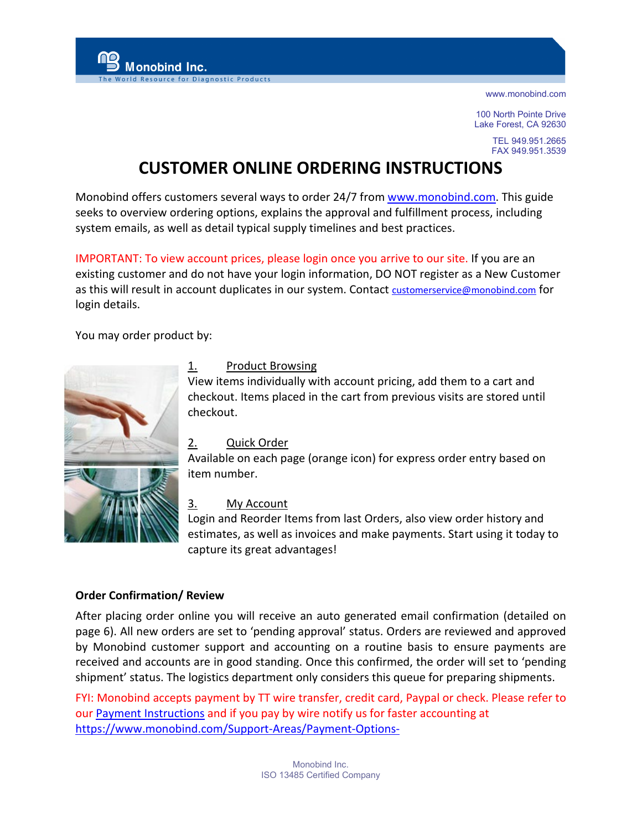100 North Pointe Drive Lake Forest, CA 92630

> TEL 949.951.2665 FAX 949.951.3539

# **CUSTOMER ONLINE ORDERING INSTRUCTIONS**

Monobind offers customers several ways to order 24/7 from [www.monobind.com.](http://www.monobind.com/) This guide seeks to overview ordering options, explains the approval and fulfillment process, including system emails, as well as detail typical supply timelines and best practices.

IMPORTANT: To view account prices, please login once you arrive to our site. If you are an existing customer and do not have your login information, DO NOT register as a New Customer as this will result in account duplicates in our system. Contact [customerservice@monobind.com](mailto:customerservice@monobind.com) for login details.

You may order product by:

Monobind Inc.

for Diagnostic Product



# 1. Product Browsing

View items individually with account pricing, add them to a cart and checkout. Items placed in the cart from previous visits are stored until checkout.

## 2. Quick Order

Available on each page (orange icon) for express order entry based on item number.

## 3. [My Account](https://checkout.netsuite.com/app/center/nlvisitor.nl?c=445858&sc=6&addrcountry=US)

Login and Reorder Items from last Orders, also view order history and estimates, as well as invoices and make payments. Start using it today to capture its great advantages!

## **Order Confirmation/ Review**

After placing order online you will receive an auto generated email confirmation (detailed on page 6). All new orders are set to 'pending approval' status. Orders are reviewed and approved by Monobind customer support and accounting on a routine basis to ensure payments are received and accounts are in good standing. Once this confirmed, the order will set to 'pending shipment' status. The logistics department only considers this queue for preparing shipments.

FYI: Monobind accepts payment by TT wire transfer, credit card, Paypal or check. Please refer to our [Payment Instructions](https://445858.app.netsuite.com/core/media/media.nl?id=1486&c=445858&h=43740138afa0b4d749a0&_xt=.pdf) and if you pay by wire notify us for faster accounting at <https://www.monobind.com/Support-Areas/Payment-Options->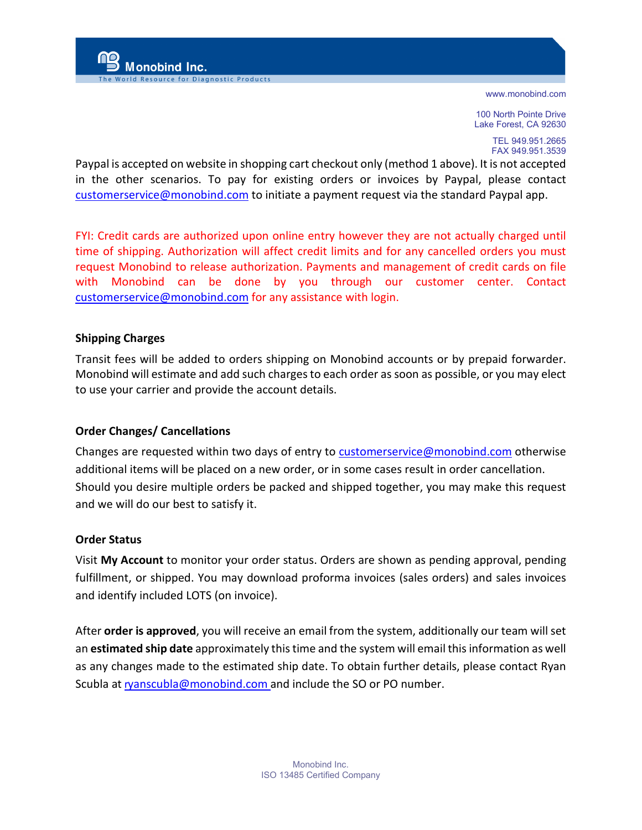100 North Pointe Drive Lake Forest, CA 92630

> TEL 949.951.2665 FAX 949.951.3539

Paypal is accepted on website in shopping cart checkout only (method 1 above). It is not accepted in the other scenarios. To pay for existing orders or invoices by Paypal, please contact [customerservice@monobind.com](mailto:customerservice@monobind.com) to initiate a payment request via the standard Paypal app.

FYI: Credit cards are authorized upon online entry however they are not actually charged until time of shipping. Authorization will affect credit limits and for any cancelled orders you must request Monobind to release authorization. Payments and management of credit cards on file with Monobind can be done by you through our customer center. Contact [customerservice@monobind.com](mailto:customerservice@monobind.com) for any assistance with login.

## **Shipping Charges**

Transit fees will be added to orders shipping on Monobind accounts or by prepaid forwarder. Monobind will estimate and add such charges to each order as soon as possible, or you may elect to use your carrier and provide the account details.

## **Order Changes/ Cancellations**

Aonobind Inc.

for Diagnostic Product

Changes are requested within two days of entry to [customerservice@monobind.com](mailto:customerservice@monobind.com) otherwise additional items will be placed on a new order, or in some cases result in order cancellation. Should you desire multiple orders be packed and shipped together, you may make this request and we will do our best to satisfy it.

## **Order Status**

Visit **My Account** to monitor your order status. Orders are shown as pending approval, pending fulfillment, or shipped. You may download proforma invoices (sales orders) and sales invoices and identify included LOTS (on invoice).

After **order is approved**, you will receive an email from the system, additionally our team will set an **estimated ship date** approximately this time and the system will email this information as well as any changes made to the estimated ship date. To obtain further details, please contact Ryan Scubla at r[yanscubla@monobind.com](mailto:ryanscubla@monobind.com) and include the SO or PO number.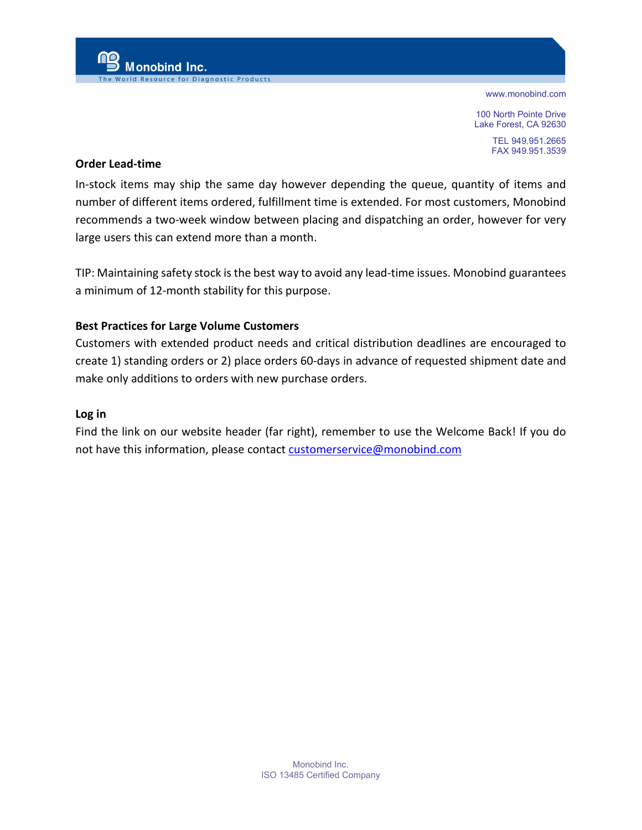100 North Pointe Drive Lake Forest, CA 92630

> TEL 949.951.2665 FAX 949.951.3539

#### **Order Lead-time**

**Monobind Inc.** 

for Diagnostic Products

In-stock items may ship the same day however depending the queue, quantity of items and number of different items ordered, fulfillment time is extended. For most customers, Monobind recommends a two-week window between placing and dispatching an order, however for very large users this can extend more than a month.

TIP: Maintaining safety stock is the best way to avoid any lead-time issues. Monobind guarantees a minimum of 12-month stability for this purpose.

### **Best Practices for Large Volume Customers**

Customers with extended product needs and critical distribution deadlines are encouraged to create 1) standing orders or 2) place orders 60-days in advance of requested shipment date and make only additions to orders with new purchase orders.

#### **Log in**

Find the link on our website header (far right), remember to use the Welcome Back! If you do not have this information, please contact [customerservice@monobind.com](mailto:customerservice@monobind.com)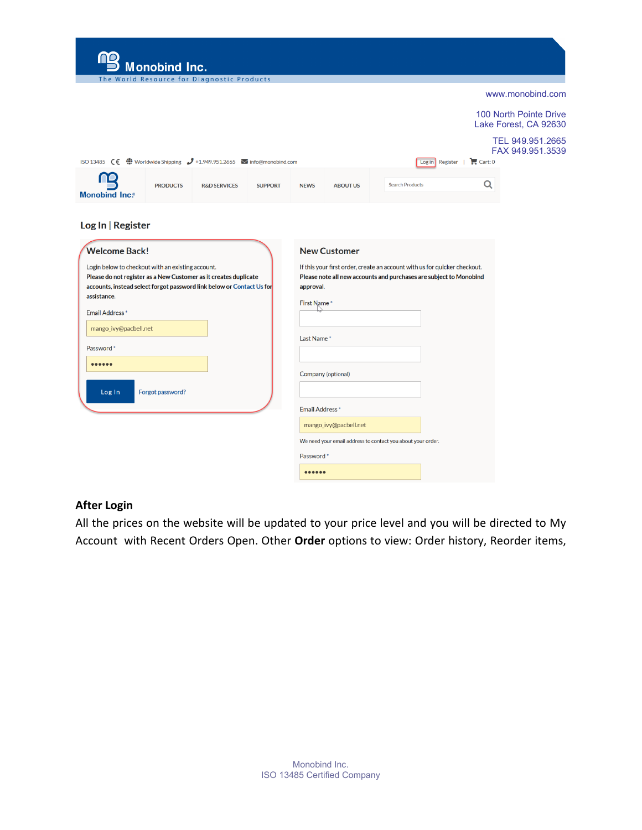| Monobind Inc.                                                                                                                                                                                                                                                                                                |                                                                                                                                                                                                    |  |  |  |  |
|--------------------------------------------------------------------------------------------------------------------------------------------------------------------------------------------------------------------------------------------------------------------------------------------------------------|----------------------------------------------------------------------------------------------------------------------------------------------------------------------------------------------------|--|--|--|--|
| The World Resource for Diagnostic Products                                                                                                                                                                                                                                                                   | www.monobind.com                                                                                                                                                                                   |  |  |  |  |
|                                                                                                                                                                                                                                                                                                              |                                                                                                                                                                                                    |  |  |  |  |
|                                                                                                                                                                                                                                                                                                              | 100 North Pointe Drive<br>Lake Forest, CA 92630                                                                                                                                                    |  |  |  |  |
| ISO 13485 $\zeta \in \bigoplus$ Worldwide Shipping $\mathcal{J}$ +1.949.951.2665 $\blacktriangleright$ info@monobind.com                                                                                                                                                                                     | TEL 949.951.2665<br>FAX 949.951.3539<br>$Log in$ Register   $\Box$ Cart: 0                                                                                                                         |  |  |  |  |
| <b>PRODUCTS</b><br><b>R&amp;D SERVICES</b><br><b>SUPPORT</b><br><b>Monobind Inc.®</b>                                                                                                                                                                                                                        | Q<br><b>Search Products</b><br><b>NEWS</b><br><b>ABOUT US</b>                                                                                                                                      |  |  |  |  |
| Log In   Register<br><b>Welcome Back!</b><br>Login below to checkout with an existing account.<br>Please do not register as a New Customer as it creates duplicate<br>accounts, instead select forgot password link below or Contact Us for<br>assistance.<br><b>Email Address*</b><br>mango_ivy@pacbell.net | <b>New Customer</b><br>If this your first order, create an account with us for quicker checkout.<br>Please note all new accounts and purchases are subject to Monobind<br>approval.<br>First Name* |  |  |  |  |
| Password *                                                                                                                                                                                                                                                                                                   | Last Name*                                                                                                                                                                                         |  |  |  |  |
| <br>Forgot password?<br>Log In                                                                                                                                                                                                                                                                               | Company (optional)                                                                                                                                                                                 |  |  |  |  |
|                                                                                                                                                                                                                                                                                                              | <b>Email Address</b> *                                                                                                                                                                             |  |  |  |  |
|                                                                                                                                                                                                                                                                                                              | mango_ivy@pacbell.net                                                                                                                                                                              |  |  |  |  |
|                                                                                                                                                                                                                                                                                                              | We need your email address to contact you about your order.                                                                                                                                        |  |  |  |  |

# **After Login**

All the prices on the website will be updated to your price level and you will be directed to My Account with Recent Orders Open. Other **Order** options to view: Order history, Reorder items,

Password\*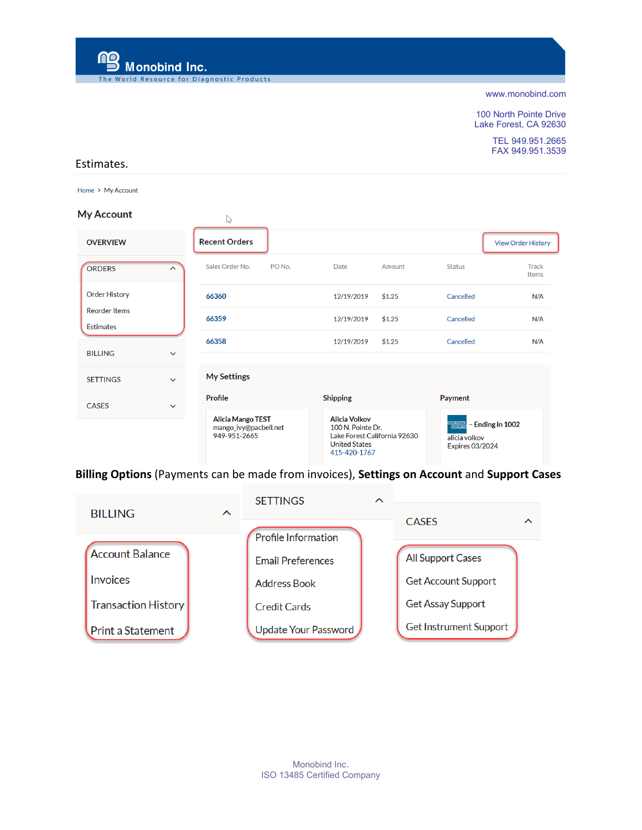mg **Monobind Inc.** 

esource for Diagnostic Products

[www.monobind.com](http://www.monobind.com/)

100 North Pointe Drive Lake Forest, CA 92630

> TEL 949.951.2665 FAX 949.951.3539

#### Estimates.

Home > My Account

#### **My Account**

| My Account                               |                     | $\mathbb{P}$                                                      |                   |                                                                                                                   |        |                                                              |                           |
|------------------------------------------|---------------------|-------------------------------------------------------------------|-------------------|-------------------------------------------------------------------------------------------------------------------|--------|--------------------------------------------------------------|---------------------------|
| <b>OVERVIEW</b>                          |                     | <b>Recent Orders</b>                                              |                   |                                                                                                                   |        |                                                              | <b>View Order History</b> |
| <b>ORDERS</b>                            | $\hat{\phantom{1}}$ | Sales Order No.                                                   | PO <sub>No.</sub> | Date                                                                                                              | Amount | <b>Status</b>                                                | <b>Track</b><br>Items     |
| <b>Order History</b>                     |                     | 66360                                                             |                   | 12/19/2019                                                                                                        | \$1.25 | Cancelled                                                    | N/A                       |
| <b>Reorder Items</b><br><b>Estimates</b> |                     | 66359                                                             |                   | 12/19/2019                                                                                                        | \$1.25 | Cancelled                                                    | N/A                       |
| <b>BILLING</b>                           | $\checkmark$        | 66358                                                             |                   | 12/19/2019                                                                                                        | \$1.25 | Cancelled                                                    | N/A                       |
| <b>SETTINGS</b>                          | $\checkmark$        | <b>My Settings</b>                                                |                   |                                                                                                                   |        |                                                              |                           |
| <b>CASES</b>                             | $\checkmark$        | Profile                                                           |                   | <b>Shipping</b>                                                                                                   |        | Payment                                                      |                           |
|                                          |                     | <b>Alicia Mango TEST</b><br>mango_ivy@pacbell.net<br>949-951-2665 |                   | <b>Alicia Volkov</b><br>100 N. Pointe Dr.<br>Lake Forest California 92630<br><b>United States</b><br>415-420-1767 |        | ನಗರನ್ನು<br>ಅನುಚಿತ<br>alicia volkov<br><b>Expires 03/2024</b> | - Ending in 1002          |

**Billing Options** (Payments can be made from invoices), **Settings on Account** and **Support Cases**

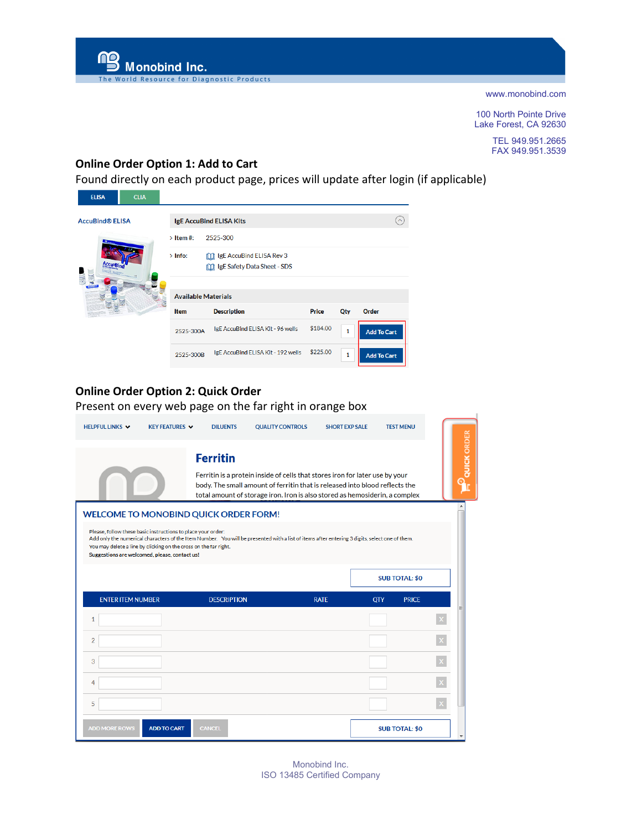100 North Pointe Drive Lake Forest, CA 92630

> TEL 949.951.2665 FAX 949.951.3539

## **Online Order Option 1: Add to Cart**

**In the Resource for Diagnostic Products** 

**ng**<br>Monobind Inc.

Found directly on each product page, prices will update after login (if applicable)

| <b>ELISA</b>           | <b>CLIA</b>                |                      |                                                                       |              |              |                    |
|------------------------|----------------------------|----------------------|-----------------------------------------------------------------------|--------------|--------------|--------------------|
| <b>AccuBind® ELISA</b> |                            |                      | <b>IgE AccuBind ELISA Kits</b>                                        |              |              |                    |
|                        |                            | $\rightarrow$ Item#: | 2525-300                                                              |              |              |                    |
|                        | $\alpha$                   | $>$ Info:            | [11] IgE AccuBind ELISA Rev 3<br><b>M</b> IgE Safety Data Sheet - SDS |              |              |                    |
|                        | <b>Available Materials</b> |                      |                                                                       |              |              |                    |
|                        |                            | <b>Item</b>          | <b>Description</b>                                                    | <b>Price</b> | Qty          | <b>Order</b>       |
|                        |                            | 2525-300A            | IgE AccuBind ELISA Kit - 96 wells                                     | \$184.00     | $\mathbf{1}$ | <b>Add To Cart</b> |
|                        |                            | 2525-300B            | IgE AccuBind ELISA Kit - 192 wells                                    | \$225.00     | 1            | <b>Add To Cart</b> |

## **Online Order Option 2: Quick Order**

Present on every web page on the far right in orange box

| HELPFUL LINKS V               | <b>KEY FEATURES V</b>                                                                                                                                                                                                             | <b>DILUENTS</b>    | <b>QUALITY CONTROLS</b>                                                                                                                                                                                                                    | <b>SHORT EXP SALE</b> | <b>TEST MENU</b>           |  |  |
|-------------------------------|-----------------------------------------------------------------------------------------------------------------------------------------------------------------------------------------------------------------------------------|--------------------|--------------------------------------------------------------------------------------------------------------------------------------------------------------------------------------------------------------------------------------------|-----------------------|----------------------------|--|--|
|                               |                                                                                                                                                                                                                                   | <b>Ferritin</b>    | Ferritin is a protein inside of cells that stores iron for later use by your<br>body. The small amount of ferritin that is released into blood reflects the<br>total amount of storage iron. Iron is also stored as hemosiderin, a complex |                       |                            |  |  |
|                               | <b>WELCOME TO MONOBIND QUICK ORDER FORM!</b><br>Please, follow these basic instructions to place your order:<br>You may delete a line by clicking on the cross on the far right.<br>Suggestions are welcomed, please, contact us! |                    | Add only the numerical characters of the Item Number. You will be presented with a list of items after entering 3 digits, select one of them.                                                                                              |                       |                            |  |  |
|                               |                                                                                                                                                                                                                                   |                    |                                                                                                                                                                                                                                            |                       | <b>SUB TOTAL: \$0</b>      |  |  |
| <b>ENTER ITEM NUMBER</b><br>1 |                                                                                                                                                                                                                                   | <b>DESCRIPTION</b> |                                                                                                                                                                                                                                            | <b>RATE</b>           | <b>QTY</b><br><b>PRICE</b> |  |  |
| $\overline{2}$                |                                                                                                                                                                                                                                   |                    |                                                                                                                                                                                                                                            |                       |                            |  |  |
| 3                             |                                                                                                                                                                                                                                   |                    |                                                                                                                                                                                                                                            |                       |                            |  |  |
| 4                             |                                                                                                                                                                                                                                   |                    |                                                                                                                                                                                                                                            |                       |                            |  |  |
| 5                             |                                                                                                                                                                                                                                   |                    |                                                                                                                                                                                                                                            |                       |                            |  |  |
| <b>ADD MORE ROWS</b>          | <b>ADD TO CART</b>                                                                                                                                                                                                                | <b>CANCEL</b>      |                                                                                                                                                                                                                                            |                       | <b>SUB TOTAL: \$0</b>      |  |  |

Monobind Inc. ISO 13485 Certified Company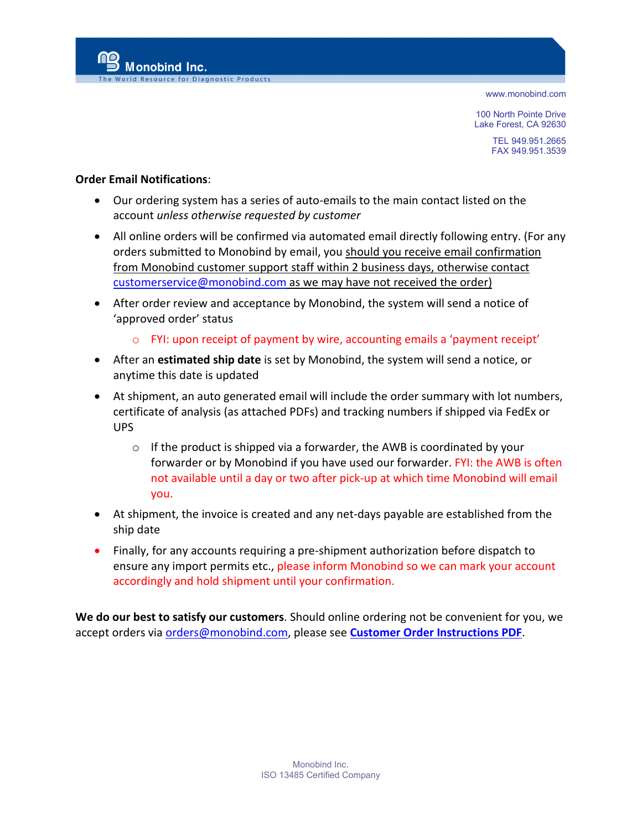100 North Pointe Drive Lake Forest, CA 92630

> TEL 949.951.2665 FAX 949.951.3539

### **Order Email Notifications**:

Monobind Inc.

e for Diagnostic Products

- Our ordering system has a series of auto-emails to the main contact listed on the account *unless otherwise requested by customer*
- All online orders will be confirmed via automated email directly following entry. (For any orders submitted to Monobind by email, you should you receive email confirmation from Monobind customer support staff within 2 business days, otherwise contact [customerservice@monobind.com](mailto:customerservice@monobind.com) as we may have not received the order)
- After order review and acceptance by Monobind, the system will send a notice of 'approved order' status
	- $\circ$  FYI: upon receipt of payment by wire, accounting emails a 'payment receipt'
- After an **estimated ship date** is set by Monobind, the system will send a notice, or anytime this date is updated
- At shipment, an auto generated email will include the order summary with lot numbers, certificate of analysis (as attached PDFs) and tracking numbers if shipped via FedEx or UPS
	- $\circ$  If the product is shipped via a forwarder, the AWB is coordinated by your forwarder or by Monobind if you have used our forwarder. FYI: the AWB is often not available until a day or two after pick-up at which time Monobind will email you.
- At shipment, the invoice is created and any net-days payable are established from the ship date
- Finally, for any accounts requiring a pre-shipment authorization before dispatch to ensure any import permits etc., please inform Monobind so we can mark your account accordingly and hold shipment until your confirmation.

**We do our best to satisfy our customers**. Should online ordering not be convenient for you, we accept orders via [orders@monobind.com,](mailto:orders@monobind.com) please see **[Customer Order Instructions PDF](https://445858.app.netsuite.com/core/media/media.nl?id=665324&c=445858&h=9ebf82daff3be69e680a&_xt=.pdf)**.